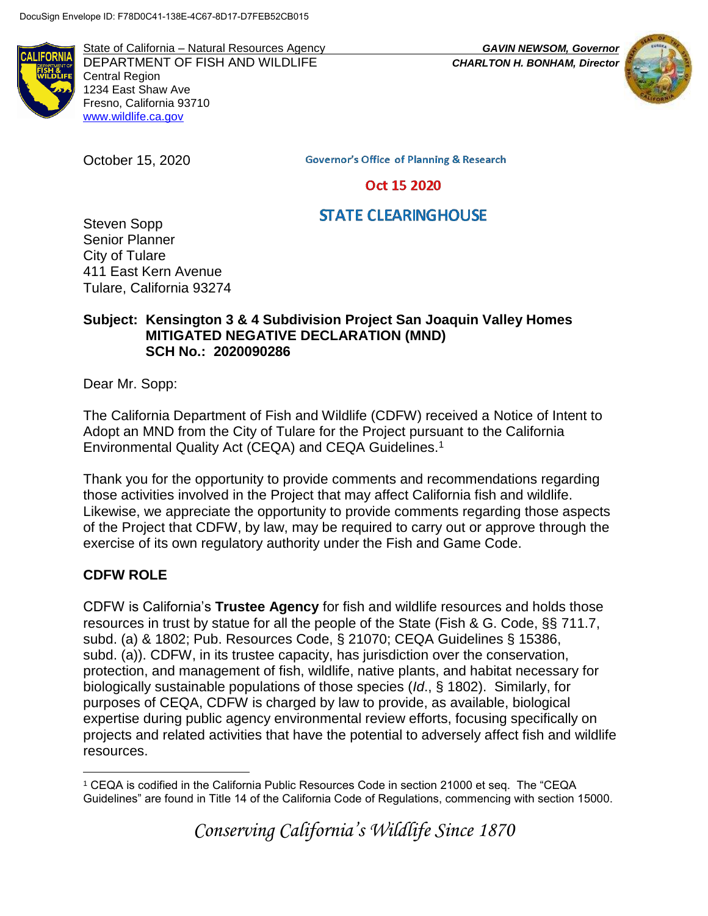**IFORM** 

State of California – Natural Resources Agency *GAVIN NEWSOM, Governor* DEPARTMENT OF FISH AND WILDLIFE *CHARLTON H. BONHAM, Director* Central Region 1234 East Shaw Ave Fresno, California 93710 [www.wildlife.ca.gov](http://www.wildlife.ca.gov/)

October 15, 2020



**Governor's Office of Planning & Research** 

Oct 15 2020

# **STATE CLEARINGHOUSE**

Steven Sopp Senior Planner City of Tulare 411 East Kern Avenue Tulare, California 93274

#### **Subject: Kensington 3 & 4 Subdivision Project San Joaquin Valley Homes MITIGATED NEGATIVE DECLARATION (MND) SCH No.: 2020090286**

Dear Mr. Sopp:

The California Department of Fish and Wildlife (CDFW) received a Notice of Intent to Adopt an MND from the City of Tulare for the Project pursuant to the California Environmental Quality Act (CEQA) and CEQA Guidelines.<sup>1</sup>

Thank you for the opportunity to provide comments and recommendations regarding those activities involved in the Project that may affect California fish and wildlife. Likewise, we appreciate the opportunity to provide comments regarding those aspects of the Project that CDFW, by law, may be required to carry out or approve through the exercise of its own regulatory authority under the Fish and Game Code.

# **CDFW ROLE**

CDFW is California's **Trustee Agency** for fish and wildlife resources and holds those resources in trust by statue for all the people of the State (Fish & G. Code, §§ 711.7, subd. (a) & 1802; Pub. Resources Code, § 21070; CEQA Guidelines § 15386, subd. (a)). CDFW, in its trustee capacity, has jurisdiction over the conservation, protection, and management of fish, wildlife, native plants, and habitat necessary for biologically sustainable populations of those species (*Id*., § 1802). Similarly, for purposes of CEQA, CDFW is charged by law to provide, as available, biological expertise during public agency environmental review efforts, focusing specifically on projects and related activities that have the potential to adversely affect fish and wildlife resources.

*Conserving California's Wildlife Since 1870*

 $\overline{a}$ <sup>1</sup> CEQA is codified in the California Public Resources Code in section 21000 et seq. The "CEQA Guidelines" are found in Title 14 of the California Code of Regulations, commencing with section 15000.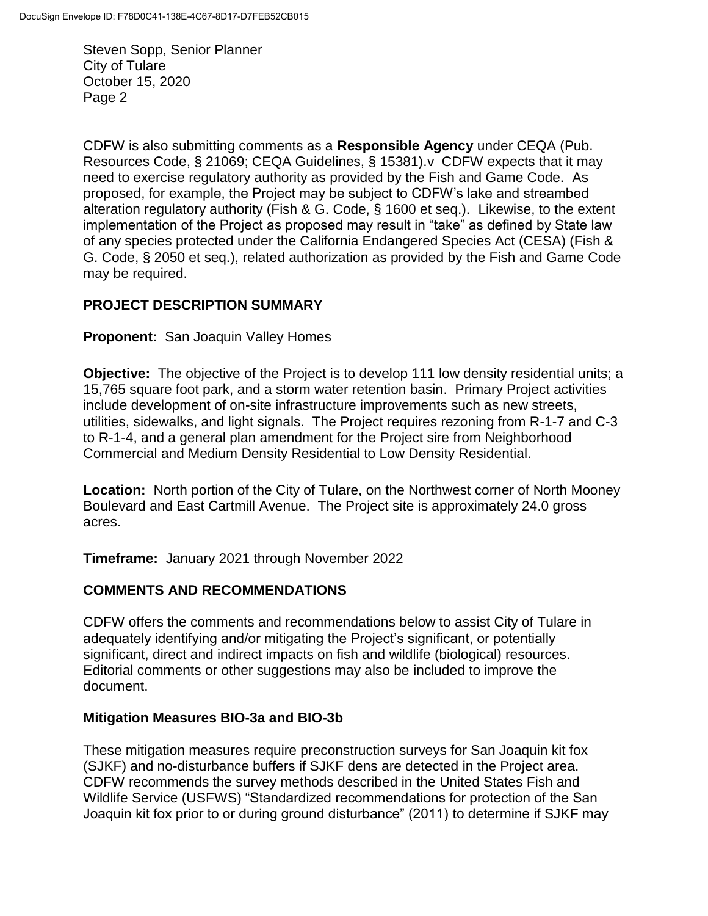CDFW is also submitting comments as a **Responsible Agency** under CEQA (Pub. Resources Code, § 21069; CEQA Guidelines, § 15381).v CDFW expects that it may need to exercise regulatory authority as provided by the Fish and Game Code. As proposed, for example, the Project may be subject to CDFW's lake and streambed alteration regulatory authority (Fish & G. Code, § 1600 et seq.). Likewise, to the extent implementation of the Project as proposed may result in "take" as defined by State law of any species protected under the California Endangered Species Act (CESA) (Fish & G. Code, § 2050 et seq.), related authorization as provided by the Fish and Game Code may be required.

# **PROJECT DESCRIPTION SUMMARY**

**Proponent:** San Joaquin Valley Homes

**Objective:** The objective of the Project is to develop 111 low density residential units; a 15,765 square foot park, and a storm water retention basin. Primary Project activities include development of on-site infrastructure improvements such as new streets, utilities, sidewalks, and light signals. The Project requires rezoning from R-1-7 and C-3 to R-1-4, and a general plan amendment for the Project sire from Neighborhood Commercial and Medium Density Residential to Low Density Residential.

**Location:** North portion of the City of Tulare, on the Northwest corner of North Mooney Boulevard and East Cartmill Avenue. The Project site is approximately 24.0 gross acres.

**Timeframe:** January 2021 through November 2022

#### **COMMENTS AND RECOMMENDATIONS**

CDFW offers the comments and recommendations below to assist City of Tulare in adequately identifying and/or mitigating the Project's significant, or potentially significant, direct and indirect impacts on fish and wildlife (biological) resources. Editorial comments or other suggestions may also be included to improve the document.

#### **Mitigation Measures BIO-3a and BIO-3b**

These mitigation measures require preconstruction surveys for San Joaquin kit fox (SJKF) and no-disturbance buffers if SJKF dens are detected in the Project area. CDFW recommends the survey methods described in the United States Fish and Wildlife Service (USFWS) "Standardized recommendations for protection of the San Joaquin kit fox prior to or during ground disturbance" (2011) to determine if SJKF may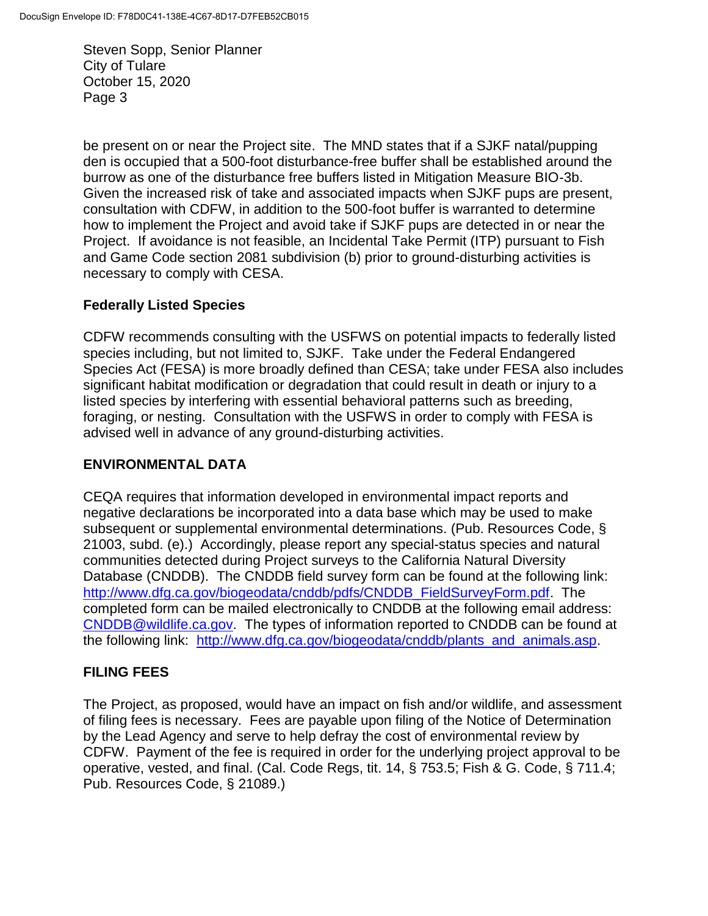be present on or near the Project site. The MND states that if a SJKF natal/pupping den is occupied that a 500-foot disturbance-free buffer shall be established around the burrow as one of the disturbance free buffers listed in Mitigation Measure BIO-3b. Given the increased risk of take and associated impacts when SJKF pups are present, consultation with CDFW, in addition to the 500-foot buffer is warranted to determine how to implement the Project and avoid take if SJKF pups are detected in or near the Project. If avoidance is not feasible, an Incidental Take Permit (ITP) pursuant to Fish and Game Code section 2081 subdivision (b) prior to ground-disturbing activities is necessary to comply with CESA.

# **Federally Listed Species**

CDFW recommends consulting with the USFWS on potential impacts to federally listed species including, but not limited to, SJKF. Take under the Federal Endangered Species Act (FESA) is more broadly defined than CESA; take under FESA also includes significant habitat modification or degradation that could result in death or injury to a listed species by interfering with essential behavioral patterns such as breeding, foraging, or nesting. Consultation with the USFWS in order to comply with FESA is advised well in advance of any ground-disturbing activities.

# **ENVIRONMENTAL DATA**

CEQA requires that information developed in environmental impact reports and negative declarations be incorporated into a data base which may be used to make subsequent or supplemental environmental determinations. (Pub. Resources Code, § 21003, subd. (e).) Accordingly, please report any special-status species and natural communities detected during Project surveys to the California Natural Diversity Database (CNDDB). The CNDDB field survey form can be found at the following link: [http://www.dfg.ca.gov/biogeodata/cnddb/pdfs/CNDDB\\_FieldSurveyForm.pdf.](http://www.dfg.ca.gov/biogeodata/cnddb/pdfs/CNDDB_FieldSurveyForm.pdf) The completed form can be mailed electronically to CNDDB at the following email address: [CNDDB@wildlife.ca.gov.](mailto:cnddb@dfg.ca.gov) The types of information reported to CNDDB can be found at the following link: [http://www.dfg.ca.gov/biogeodata/cnddb/plants\\_and\\_animals.asp.](http://www.dfg.ca.gov/biogeodata/cnddb/plants_and_animals.asp)

# **FILING FEES**

The Project, as proposed, would have an impact on fish and/or wildlife, and assessment of filing fees is necessary. Fees are payable upon filing of the Notice of Determination by the Lead Agency and serve to help defray the cost of environmental review by CDFW. Payment of the fee is required in order for the underlying project approval to be operative, vested, and final. (Cal. Code Regs, tit. 14, § 753.5; Fish & G. Code, § 711.4; Pub. Resources Code, § 21089.)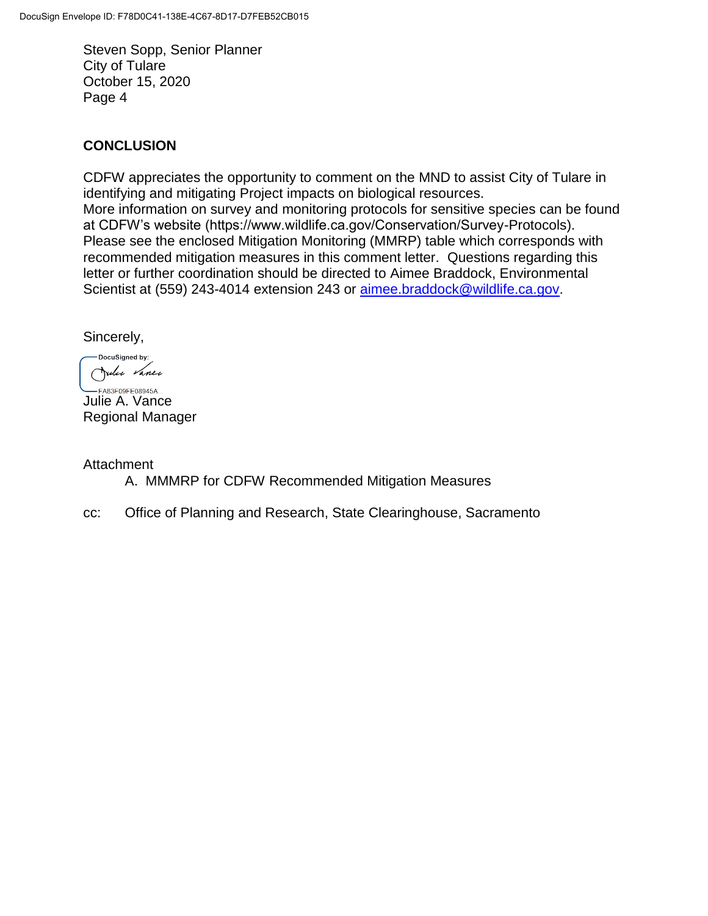#### **CONCLUSION**

CDFW appreciates the opportunity to comment on the MND to assist City of Tulare in identifying and mitigating Project impacts on biological resources. More information on survey and monitoring protocols for sensitive species can be found at CDFW's website (https://www.wildlife.ca.gov/Conservation/Survey-Protocols). Please see the enclosed Mitigation Monitoring (MMRP) table which corresponds with recommended mitigation measures in this comment letter. Questions regarding this letter or further coordination should be directed to Aimee Braddock, Environmental Scientist at (559) 243-4014 extension 243 or [aimee.braddock@wildlife.ca.gov.](mailto:aimee.braddock@wildlife.ca.gov)

Sincerely,

DocuSigned by: Julie Vance

-FA83F09FE08945A... Julie A. Vance Regional Manager

**Attachment** 

A. MMMRP for CDFW Recommended Mitigation Measures

cc: Office of Planning and Research, State Clearinghouse, Sacramento